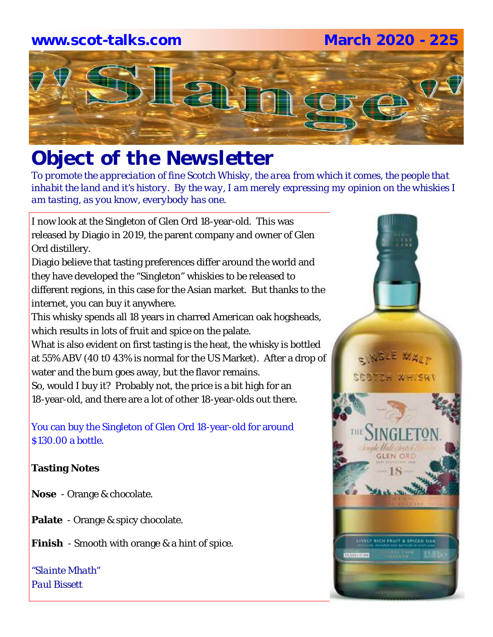### **www.scot-talks.com March 2020 - 225**



# *Object of the Newsletter*

*To promote the appreciation of fine Scotch Whisky, the area from which it comes, the people that inhabit the land and it's history. By the way, I am merely expressing my opinion on the whiskies I am tasting, as you know, everybody has one.* 

I now look at the Singleton of Glen Ord 18-year-old. This was released by Diagio in 2019, the parent company and owner of Glen Ord distillery.

Diagio believe that tasting preferences differ around the world and they have developed the "Singleton" whiskies to be released to different regions, in this case for the Asian market. But thanks to the internet, you can buy it anywhere.

This whisky spends all 18 years in charred American oak hogsheads, which results in lots of fruit and spice on the palate.

What is also evident on first tasting is the heat, the whisky is bottled at 55% ABV (40 t0 43% is normal for the US Market). After a drop of water and the burn goes away, but the flavor remains.

So, would I buy it? Probably not, the price is a bit high for an 18-year-old, and there are a lot of other 18-year-olds out there.

You can buy the Singleton of Glen Ord 18-year-old for around \$130.00 a bottle.

### **Tasting Notes**

- **Nose**  Orange & chocolate.
- **Palate**  Orange & spicy chocolate.
- **Finish**  Smooth with orange & a hint of spice.

*"Slainte Mhath" Paul Bissett*

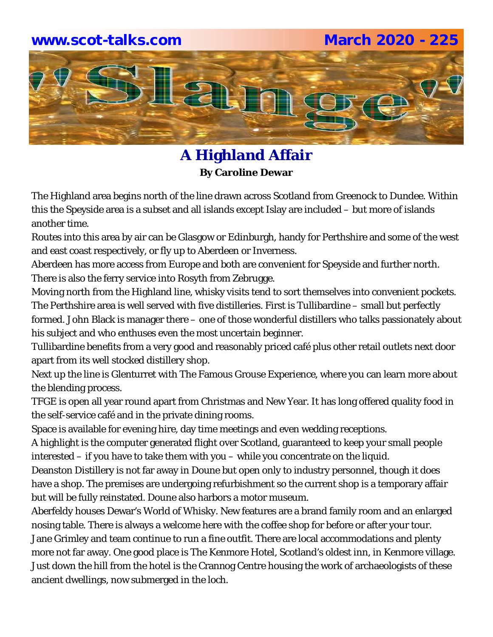### **www.scot-talks.com March 2020 - 225**



### **A Highland Affair By Caroline Dewar**

The Highland area begins north of the line drawn across Scotland from Greenock to Dundee. Within this the Speyside area is a subset and all islands except Islay are included – but more of islands another time.

Routes into this area by air can be Glasgow or Edinburgh, handy for Perthshire and some of the west and east coast respectively, or fly up to Aberdeen or Inverness.

Aberdeen has more access from Europe and both are convenient for Speyside and further north. There is also the ferry service into Rosyth from Zebrugge.

Moving north from the Highland line, whisky visits tend to sort themselves into convenient pockets. The Perthshire area is well served with five distilleries. First is Tullibardine – small but perfectly formed. John Black is manager there – one of those wonderful distillers who talks passionately about his subject and who enthuses even the most uncertain beginner.

Tullibardine benefits from a very good and reasonably priced café plus other retail outlets next door apart from its well stocked distillery shop.

Next up the line is Glenturret with The Famous Grouse Experience, where you can learn more about the blending process.

TFGE is open all year round apart from Christmas and New Year. It has long offered quality food in the self-service café and in the private dining rooms.

Space is available for evening hire, day time meetings and even wedding receptions.

A highlight is the computer generated flight over Scotland, guaranteed to keep your small people interested – if you have to take them with you – while you concentrate on the liquid.

Deanston Distillery is not far away in Doune but open only to industry personnel, though it does have a shop. The premises are undergoing refurbishment so the current shop is a temporary affair but will be fully reinstated. Doune also harbors a motor museum.

Aberfeldy houses Dewar's World of Whisky. New features are a brand family room and an enlarged nosing table. There is always a welcome here with the coffee shop for before or after your tour. Jane Grimley and team continue to run a fine outfit. There are local accommodations and plenty more not far away. One good place is The Kenmore Hotel, Scotland's oldest inn, in Kenmore village. Just down the hill from the hotel is the Crannog Centre housing the work of archaeologists of these ancient dwellings, now submerged in the loch.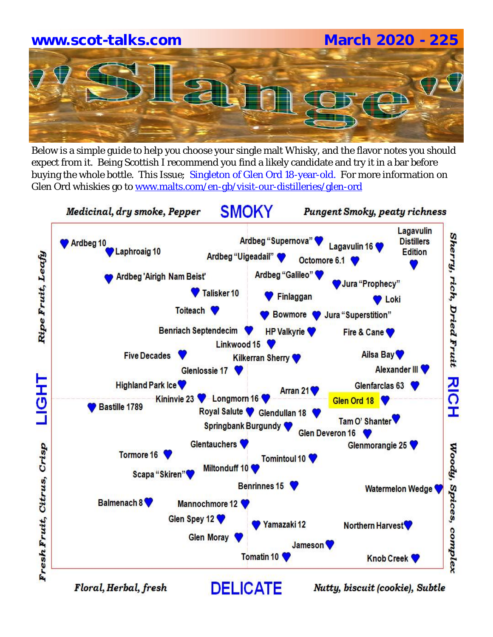# **www.scot-talks.com March 2020 - 225**

Below is a simple guide to help you choose your single malt Whisky, and the flavor notes you should expect from it. Being Scottish I recommend you find a likely candidate and try it in a bar before buying the whole bottle. This Issue; Singleton of Glen Ord 18-year-old. For more information on Glen Ord whiskies go to www.malts.com/en-gb/visit-our-distilleries/glen-ord

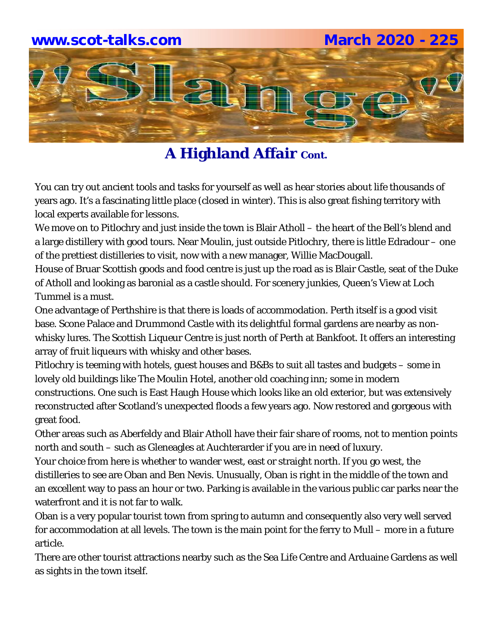

You can try out ancient tools and tasks for yourself as well as hear stories about life thousands of years ago. It's a fascinating little place (closed in winter). This is also great fishing territory with local experts available for lessons.

We move on to Pitlochry and just inside the town is Blair Atholl – the heart of the Bell's blend and a large distillery with good tours. Near Moulin, just outside Pitlochry, there is little Edradour – one of the prettiest distilleries to visit, now with a new manager, Willie MacDougall.

House of Bruar Scottish goods and food centre is just up the road as is Blair Castle, seat of the Duke of Atholl and looking as baronial as a castle should. For scenery junkies, Queen's View at Loch Tummel is a must.

One advantage of Perthshire is that there is loads of accommodation. Perth itself is a good visit base. Scone Palace and Drummond Castle with its delightful formal gardens are nearby as nonwhisky lures. The Scottish Liqueur Centre is just north of Perth at Bankfoot. It offers an interesting array of fruit liqueurs with whisky and other bases.

Pitlochry is teeming with hotels, guest houses and B&Bs to suit all tastes and budgets – some in lovely old buildings like The Moulin Hotel, another old coaching inn; some in modern constructions. One such is East Haugh House which looks like an old exterior, but was extensively reconstructed after Scotland's unexpected floods a few years ago. Now restored and gorgeous with great food.

Other areas such as Aberfeldy and Blair Atholl have their fair share of rooms, not to mention points north and south – such as Gleneagles at Auchterarder if you are in need of luxury.

Your choice from here is whether to wander west, east or straight north. If you go west, the distilleries to see are Oban and Ben Nevis. Unusually, Oban is right in the middle of the town and an excellent way to pass an hour or two. Parking is available in the various public car parks near the waterfront and it is not far to walk.

Oban is a very popular tourist town from spring to autumn and consequently also very well served for accommodation at all levels. The town is the main point for the ferry to Mull – more in a future article.

There are other tourist attractions nearby such as the Sea Life Centre and Arduaine Gardens as well as sights in the town itself.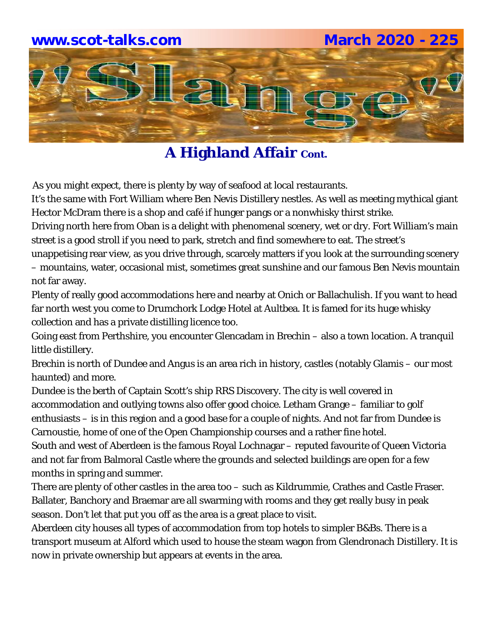

As you might expect, there is plenty by way of seafood at local restaurants.

It's the same with Fort William where Ben Nevis Distillery nestles. As well as meeting mythical giant Hector McDram there is a shop and café if hunger pangs or a nonwhisky thirst strike.

Driving north here from Oban is a delight with phenomenal scenery, wet or dry. Fort William's main street is a good stroll if you need to park, stretch and find somewhere to eat. The street's

unappetising rear view, as you drive through, scarcely matters if you look at the surrounding scenery – mountains, water, occasional mist, sometimes great sunshine and our famous Ben Nevis mountain not far away.

Plenty of really good accommodations here and nearby at Onich or Ballachulish. If you want to head far north west you come to Drumchork Lodge Hotel at Aultbea. It is famed for its huge whisky collection and has a private distilling licence too.

Going east from Perthshire, you encounter Glencadam in Brechin – also a town location. A tranquil little distillery.

Brechin is north of Dundee and Angus is an area rich in history, castles (notably Glamis – our most haunted) and more.

Dundee is the berth of Captain Scott's ship RRS Discovery. The city is well covered in accommodation and outlying towns also offer good choice. Letham Grange – familiar to golf enthusiasts – is in this region and a good base for a couple of nights. And not far from Dundee is Carnoustie, home of one of the Open Championship courses and a rather fine hotel.

South and west of Aberdeen is the famous Royal Lochnagar – reputed favourite of Queen Victoria and not far from Balmoral Castle where the grounds and selected buildings are open for a few months in spring and summer.

There are plenty of other castles in the area too – such as Kildrummie, Crathes and Castle Fraser. Ballater, Banchory and Braemar are all swarming with rooms and they get really busy in peak season. Don't let that put you off as the area is a great place to visit.

Aberdeen city houses all types of accommodation from top hotels to simpler B&Bs. There is a transport museum at Alford which used to house the steam wagon from Glendronach Distillery. It is now in private ownership but appears at events in the area.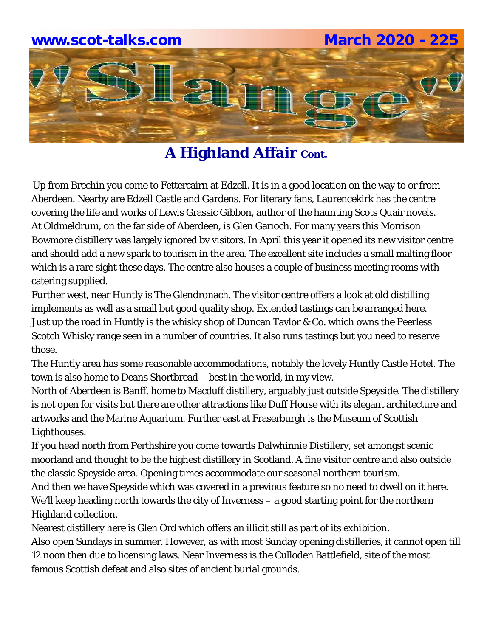

Up from Brechin you come to Fettercairn at Edzell. It is in a good location on the way to or from Aberdeen. Nearby are Edzell Castle and Gardens. For literary fans, Laurencekirk has the centre covering the life and works of Lewis Grassic Gibbon, author of the haunting Scots Quair novels. At Oldmeldrum, on the far side of Aberdeen, is Glen Garioch. For many years this Morrison Bowmore distillery was largely ignored by visitors. In April this year it opened its new visitor centre and should add a new spark to tourism in the area. The excellent site includes a small malting floor which is a rare sight these days. The centre also houses a couple of business meeting rooms with catering supplied.

Further west, near Huntly is The Glendronach. The visitor centre offers a look at old distilling implements as well as a small but good quality shop. Extended tastings can be arranged here. Just up the road in Huntly is the whisky shop of Duncan Taylor & Co. which owns the Peerless Scotch Whisky range seen in a number of countries. It also runs tastings but you need to reserve those.

The Huntly area has some reasonable accommodations, notably the lovely Huntly Castle Hotel. The town is also home to Deans Shortbread – best in the world, in my view.

North of Aberdeen is Banff, home to Macduff distillery, arguably just outside Speyside. The distillery is not open for visits but there are other attractions like Duff House with its elegant architecture and artworks and the Marine Aquarium. Further east at Fraserburgh is the Museum of Scottish Lighthouses.

If you head north from Perthshire you come towards Dalwhinnie Distillery, set amongst scenic moorland and thought to be the highest distillery in Scotland. A fine visitor centre and also outside the classic Speyside area. Opening times accommodate our seasonal northern tourism.

And then we have Speyside which was covered in a previous feature so no need to dwell on it here. We'll keep heading north towards the city of Inverness – a good starting point for the northern Highland collection.

Nearest distillery here is Glen Ord which offers an illicit still as part of its exhibition.

Also open Sundays in summer. However, as with most Sunday opening distilleries, it cannot open till 12 noon then due to licensing laws. Near Inverness is the Culloden Battlefield, site of the most famous Scottish defeat and also sites of ancient burial grounds.